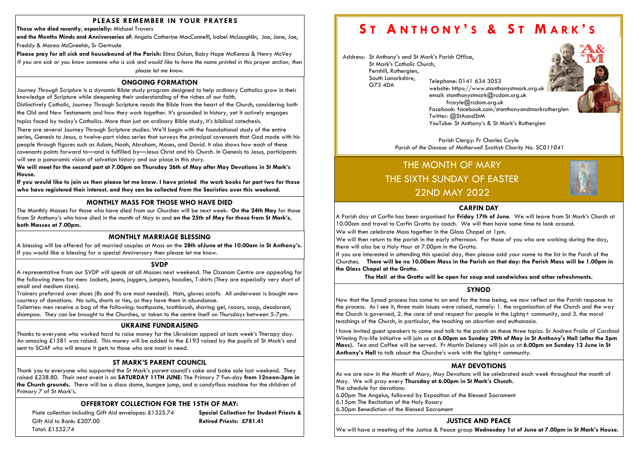# PLEASE REMEMBER IN YOUR PRAYERS

Those who died recently, especially: Michael Travers

and the Months Minds and Anniversaries of: Angela Catherine MacConnelll, Isabel McLaughlin, Joe, Jane, Joe, Freddy & Marea McGreehin, Sr Gertrude

Please pray for all sick and housebound of the Parish: Elma Dolan, Baby Hope McKenna & Henry McVey If you are sick or you know someone who is sick and would like to have the name printed in this prayer section, then please let me know.

Plate collection including Gift Aid envelopes: £1325.74 Special Collection for Student Priests & Gift Aid to Bank: £207.00 **Retired Priests: £781.41** Total: £1532.74

# ST ANTHONY'S & ST MARK'S

The Monthly Masses for those who have died from our Churches will be next week: On the 24th May for those from St Anthony's who have died in the month of May in and on the 25th of May for those from St Mark's, both Masses at 7.00pm.

# OFFERTORY COLLECTION FOR THE 15TH OF MAY:

# MONTHLY MASS FOR THOSE WHO HAVE DIED

# ONGOING FORMATION

Journey Through Scripture is a dynamic Bible study program designed to help ordinary Catholics grow in their knowledge of Scripture while deepening their understanding of the riches of our faith.

Distinctively Catholic, Journey Through Scripture reads the Bible from the heart of the Church, considering both

the Old and New Testaments and how they work together. It's grounded in history, yet it actively engages

topics faced by today's Catholics. More than just an ordinary Bible study, it's biblical catechesis.

There are several Journey Through Scripture studies. We'll begin with the foundational study of the entire series, Genesis to Jesus, a twelve-part video series that surveys the principal covenants that God made with his people through figures such as Adam, Noah, Abraham, Moses, and David. It also shows how each of these covenants points forward to—and is fulfilled by—Jesus Christ and his Church. In Genesis to Jesus, participants will see a panoramic vision of salvation history and our place in this story.

Parish Clergy: Fr Charles Coyle Parish of the Diocese of Motherwell Scottish Charity No. SC011041

We will meet for the second part at 7.00pm on Thursday 26th of May after May Devotions in St Mark's House.

If you would like to join us then please let me know. I have printed the work books for part two for those who have registered their interest, and they can be collected from the Sacristies over this weekend.

# ST MARK'S PARENT COUNCIL

Thank you to everyone who supported the St Mark's parent council's cake and bake sale last weekend. They raised £238.80. Their next event is on **SATURDAY 11TH JUNE:** The Primary 7 Fun-day from 12noon-3pm in the Church grounds. There will be a disco dome, bungee jump, and a candyfloss machine for the children of Primary 7 of St Mark's.

# UKRAINE FUNDRAISING

JUSTICE AND PEACE We will have a meeting of the Justice & Peace group Wednesday 1st of June at 7.00pm in St Mark's House.



Thanks to everyone who worked hard to raise money for the Ukrainian appeal at lasts week's Therapy day. An amazing £1581 was raised. This money will be added to the £193 raised by the pupils of St Mark's and sent to SCIAF who will ensure it gets to those who are most in need.

A representative from our SVDP will speak at all Masses next weekend. The Ozanam Centre are appealing for the following items for men: Jackets, jeans, joggers, jumpers, hoodies, T-shirts (They are especially very short of small and medium sizes).

A Parish day at Carfin has been organised for Friday 17th of June. We will leave from St Mark's Church at 10.00am and travel to Carfin Grotto by coach. We will then have some time to look around. We will then celebrate Mass together in the Glass Chapel at 1pm. We will then return to the parish in the early afternoon. For those of you who are working during the day, there will also be a Holy Hour at 7.00pm in the Grotto. If you are interested in attending this special day, then please add your name to the list in the Porch of the Churches. There will be no 10.00am Mass in the Parish on that day: the Parish Mass will be 1.00pm in the Glass Chapel at the Grotto.

Trainers preferred over shoes (8s and 9s are most needed). Hats, gloves scarfs. All underwear is bought new courtesy of donations. No suits, shorts or ties, as they have them in abundance.

Toiletries: men receive a bag of the following: toothpaste, toothbrush, shaving gel, razors, soap, deodorant, shampoo. They can be brought to the Churches, or taken to the centre itself on Thursdays between 5-7pm.

# MONTHLY MARRIAGE BLESSING

A blessing will be offered for all married couples at Mass on the 28th ofJune at the 10.00am in St Anthony's. If you would like a blessing for a special Anniversary then please let me know.

# **SVDP**

Address: St Anthony's and St Mark's Parish Office, St Mark's Catholic Church, Fernhill, Rutherglen, South Lanarkshire, G73 4DA Telephone: 0141 634 3053

email: stanthonystmark@rcdom.org.uk frcoyle@rcdom.org.uk Twitter: @StAandStM

website: https://www.stanthonystmark.org.uk Facebook: facebook.com/stanthonyandmarkrutherglen YouTube: St Anthony's & St Mark's Rutherglen





# SYNOD

Now that the Synod process has come to an end for the time being, we now reflect on the Parish response to the process. As I see it, three main issues were raised, namely: 1. the organisation of the Church and the way the Church is governed, 2. the care of and respect for people in the Lgbtq+ community, and 3. the moral teachings of the Church, in particular, the teaching on abortion and euthanasia.

I have invited guest speakers to come and talk to the parish on these three topics. Sr Andrea Fraile of Cardinal Winning Pro-life initiative will join us at 6.00pm on Sunday 29th of May in St Anthony's Hall (after the 5pm Mass). Tea and Coffee will be served. Fr Martin Delaney will join us at 6.00pm on Sunday 12 June in St Anthony's Hall to talk about the Churche's work with the lgbtq+ community.

# THE MONTH OF MARY THE SIXTH SUNDAY OF EASTER 22ND MAY 2022

# MAY DEVOTIONS

As we are now in the Month of Mary, May Devotions will be celebrated each week throughout the month of May. We will pray every Thursday at 6.00pm in St Mark's Church. The schedule for devotions:

6.00pm The Angelus, followed by Exposition of the Blessed Sacrament 6.15pm The Recitation of the Holy Rosary

6.30pm Benediction of the Blessed Sacrament

## CARFIN DAY

The Hall at the Grotto will be open for soup and sandwiches and other refreshments.